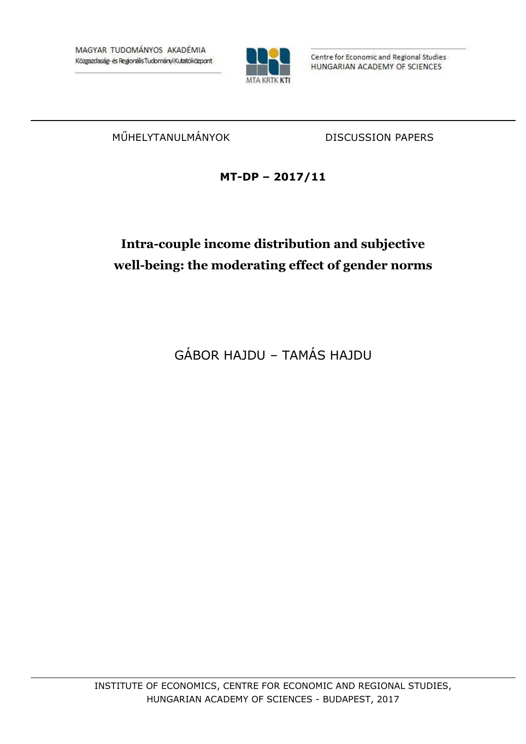

Centre for Economic and Regional Studies HUNGARIAN ACADEMY OF SCIENCES

MŰHELYTANULMÁNYOK DISCUSSION PAPERS

## **MT-DP – 2017/11**

# **Intra-couple income distribution and subjective well-being: the moderating effect of gender norms**

GÁBOR HAJDU – TAMÁS HAJDU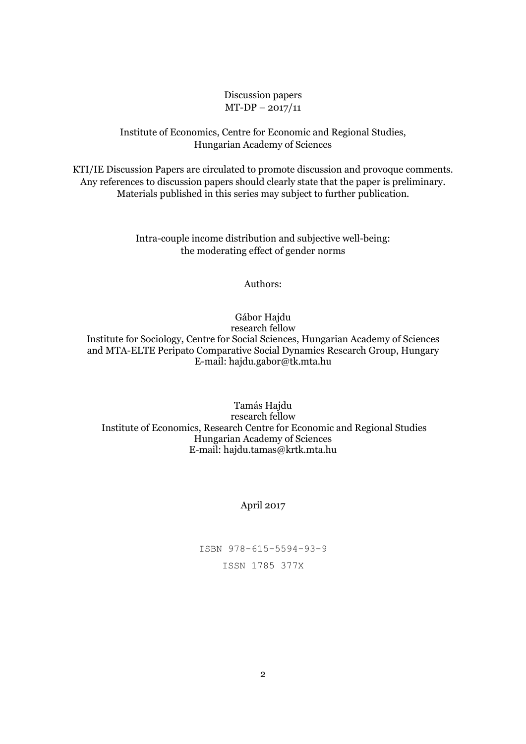#### Discussion papers MT-DP – 2017/11

### Institute of Economics, Centre for Economic and Regional Studies, Hungarian Academy of Sciences

KTI/IE Discussion Papers are circulated to promote discussion and provoque comments. Any references to discussion papers should clearly state that the paper is preliminary. Materials published in this series may subject to further publication.

> Intra-couple income distribution and subjective well-being: the moderating effect of gender norms

#### Authors:

Gábor Hajdu

research fellow Institute for Sociology, Centre for Social Sciences, Hungarian Academy of Sciences and MTA-ELTE Peripato Comparative Social Dynamics Research Group, Hungary E-mail: hajdu.gabor@tk.mta.hu

Tamás Hajdu research fellow Institute of Economics, Research Centre for Economic and Regional Studies Hungarian Academy of Sciences E-mail: hajdu.tamas@krtk.mta.hu

### April 2017

ISBN 978-615-5594-93-9 ISSN 1785 377X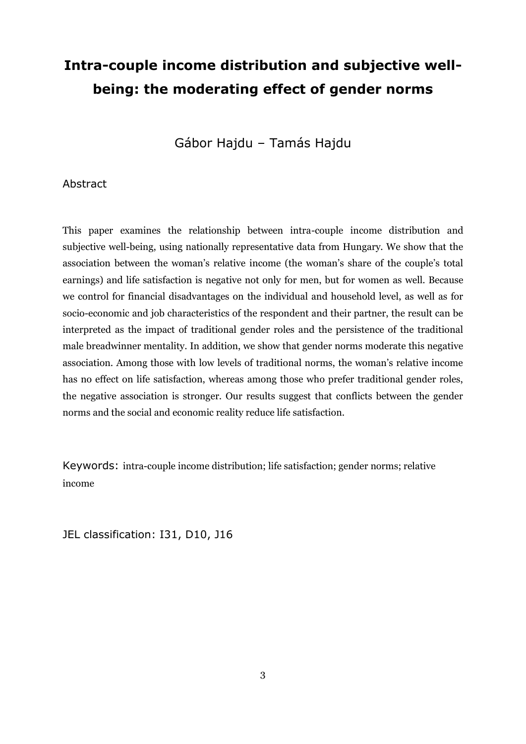# **Intra-couple income distribution and subjective wellbeing: the moderating effect of gender norms**

Gábor Hajdu – Tamás Hajdu

### Abstract

This paper examines the relationship between intra-couple income distribution and subjective well-being, using nationally representative data from Hungary. We show that the association between the woman's relative income (the woman's share of the couple's total earnings) and life satisfaction is negative not only for men, but for women as well. Because we control for financial disadvantages on the individual and household level, as well as for socio-economic and job characteristics of the respondent and their partner, the result can be interpreted as the impact of traditional gender roles and the persistence of the traditional male breadwinner mentality. In addition, we show that gender norms moderate this negative association. Among those with low levels of traditional norms, the woman's relative income has no effect on life satisfaction, whereas among those who prefer traditional gender roles, the negative association is stronger. Our results suggest that conflicts between the gender norms and the social and economic reality reduce life satisfaction.

Keywords: intra-couple income distribution; life satisfaction; gender norms; relative income

JEL classification: I31, D10, J16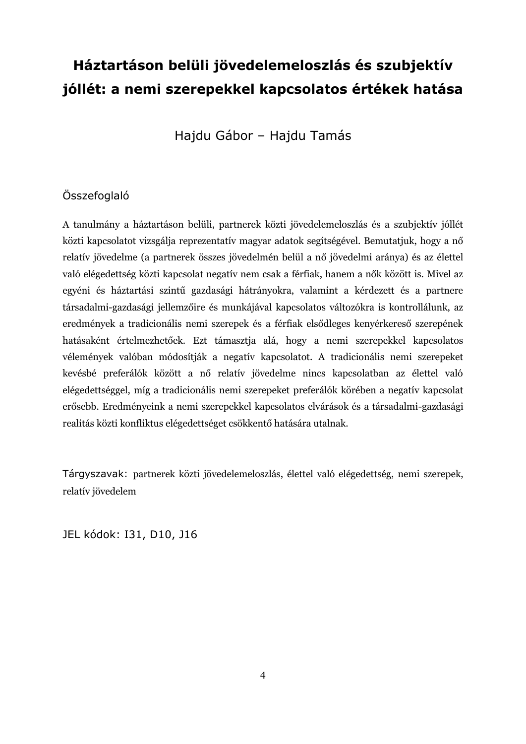# **Háztartáson belüli jövedelemeloszlás és szubjektív jóllét: a nemi szerepekkel kapcsolatos értékek hatása**

Hajdu Gábor – Hajdu Tamás

## Összefoglaló

A tanulmány a háztartáson belüli, partnerek közti jövedelemeloszlás és a szubjektív jóllét közti kapcsolatot vizsgálja reprezentatív magyar adatok segítségével. Bemutatjuk, hogy a nő relatív jövedelme (a partnerek összes jövedelmén belül a nő jövedelmi aránya) és az élettel való elégedettség közti kapcsolat negatív nem csak a férfiak, hanem a nők között is. Mivel az egyéni és háztartási szintű gazdasági hátrányokra, valamint a kérdezett és a partnere társadalmi-gazdasági jellemzőire és munkájával kapcsolatos változókra is kontrollálunk, az eredmények a tradicionális nemi szerepek és a férfiak elsődleges kenyérkereső szerepének hatásaként értelmezhetőek. Ezt támasztja alá, hogy a nemi szerepekkel kapcsolatos vélemények valóban módosítják a negatív kapcsolatot. A tradicionális nemi szerepeket kevésbé preferálók között a nő relatív jövedelme nincs kapcsolatban az élettel való elégedettséggel, míg a tradicionális nemi szerepeket preferálók körében a negatív kapcsolat erősebb. Eredményeink a nemi szerepekkel kapcsolatos elvárások és a társadalmi-gazdasági realitás közti konfliktus elégedettséget csökkentő hatására utalnak.

Tárgyszavak: partnerek közti jövedelemeloszlás, élettel való elégedettség, nemi szerepek, relatív jövedelem

JEL kódok: I31, D10, J16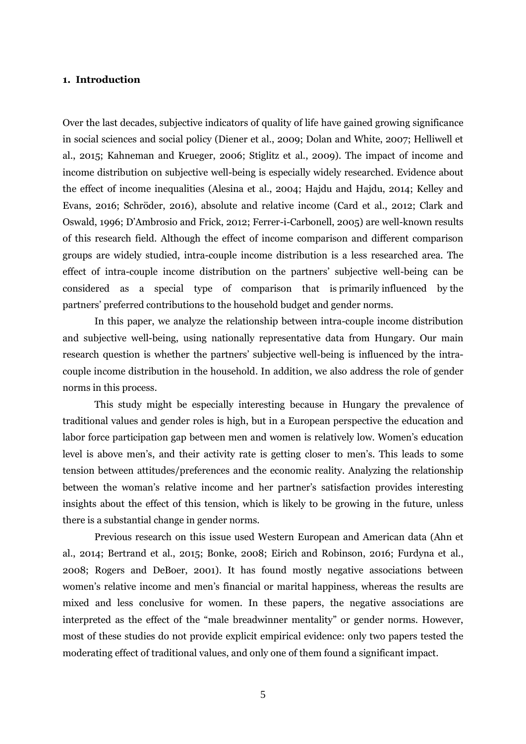#### **1. Introduction**

Over the last decades, subjective indicators of quality of life have gained growing significance in social sciences and social policy (Diener et al., 2009; Dolan and White, 2007; Helliwell et al., 2015; Kahneman and Krueger, 2006; Stiglitz et al., 2009). The impact of income and income distribution on subjective well-being is especially widely researched. Evidence about the effect of income inequalities (Alesina et al., 2004; Hajdu and Hajdu, 2014; Kelley and Evans, 2016; Schröder, 2016), absolute and relative income (Card et al., 2012; Clark and Oswald, 1996; D'Ambrosio and Frick, 2012; Ferrer-i-Carbonell, 2005) are well-known results of this research field. Although the effect of income comparison and different comparison groups are widely studied, intra-couple income distribution is a less researched area. The effect of intra-couple income distribution on the partners' subjective well-being can be considered as a special type of comparison that is primarily influenced by the partners' preferred contributions to the household budget and gender norms.

In this paper, we analyze the relationship between intra-couple income distribution and subjective well-being, using nationally representative data from Hungary. Our main research question is whether the partners' subjective well-being is influenced by the intracouple income distribution in the household. In addition, we also address the role of gender norms in this process.

This study might be especially interesting because in Hungary the prevalence of traditional values and gender roles is high, but in a European perspective the education and labor force participation gap between men and women is relatively low. Women's education level is above men's, and their activity rate is getting closer to men's. This leads to some tension between attitudes/preferences and the economic reality. Analyzing the relationship between the woman's relative income and her partner's satisfaction provides interesting insights about the effect of this tension, which is likely to be growing in the future, unless there is a substantial change in gender norms.

Previous research on this issue used Western European and American data (Ahn et al., 2014; Bertrand et al., 2015; Bonke, 2008; Eirich and Robinson, 2016; Furdyna et al., 2008; Rogers and DeBoer, 2001). It has found mostly negative associations between women's relative income and men's financial or marital happiness, whereas the results are mixed and less conclusive for women. In these papers, the negative associations are interpreted as the effect of the "male breadwinner mentality" or gender norms. However, most of these studies do not provide explicit empirical evidence: only two papers tested the moderating effect of traditional values, and only one of them found a significant impact.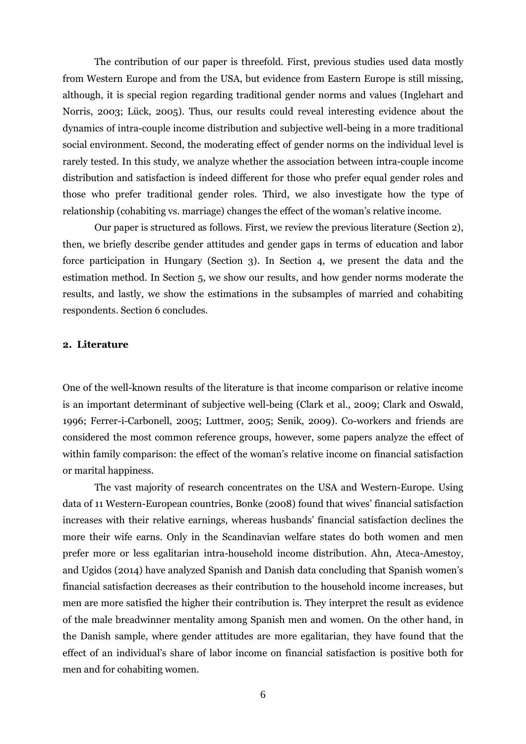The contribution of our paper is threefold. First, previous studies used data mostly from Western Europe and from the USA, but evidence from Eastern Europe is still missing, although, it is special region regarding traditional gender norms and values (Inglehart and Norris, 2003; Lück, 2005). Thus, our results could reveal interesting evidence about the dynamics of intra-couple income distribution and subjective well-being in a more traditional social environment. Second, the moderating effect of gender norms on the individual level is rarely tested. In this study, we analyze whether the association between intra-couple income distribution and satisfaction is indeed different for those who prefer equal gender roles and those who prefer traditional gender roles. Third, we also investigate how the type of relationship (cohabiting vs. marriage) changes the effect of the woman's relative income.

Our paper is structured as follows. First, we review the previous literature (Section 2), then, we briefly describe gender attitudes and gender gaps in terms of education and labor force participation in Hungary (Section 3). In Section 4, we present the data and the estimation method. In Section 5, we show our results, and how gender norms moderate the results, and lastly, we show the estimations in the subsamples of married and cohabiting respondents. Section 6 concludes.

#### **2. Literature**

One of the well-known results of the literature is that income comparison or relative income is an important determinant of subjective well-being (Clark et al., 2009; Clark and Oswald, 1996; Ferrer-i-Carbonell, 2005; Luttmer, 2005; Senik, 2009). Co-workers and friends are considered the most common reference groups, however, some papers analyze the effect of within family comparison: the effect of the woman's relative income on financial satisfaction or marital happiness.

The vast majority of research concentrates on the USA and Western-Europe. Using data of 11 Western-European countries, Bonke (2008) found that wives' financial satisfaction increases with their relative earnings, whereas husbands' financial satisfaction declines the more their wife earns. Only in the Scandinavian welfare states do both women and men prefer more or less egalitarian intra-household income distribution. Ahn, Ateca-Amestoy, and Ugidos (2014) have analyzed Spanish and Danish data concluding that Spanish women's financial satisfaction decreases as their contribution to the household income increases, but men are more satisfied the higher their contribution is. They interpret the result as evidence of the male breadwinner mentality among Spanish men and women. On the other hand, in the Danish sample, where gender attitudes are more egalitarian, they have found that the effect of an individual's share of labor income on financial satisfaction is positive both for men and for cohabiting women.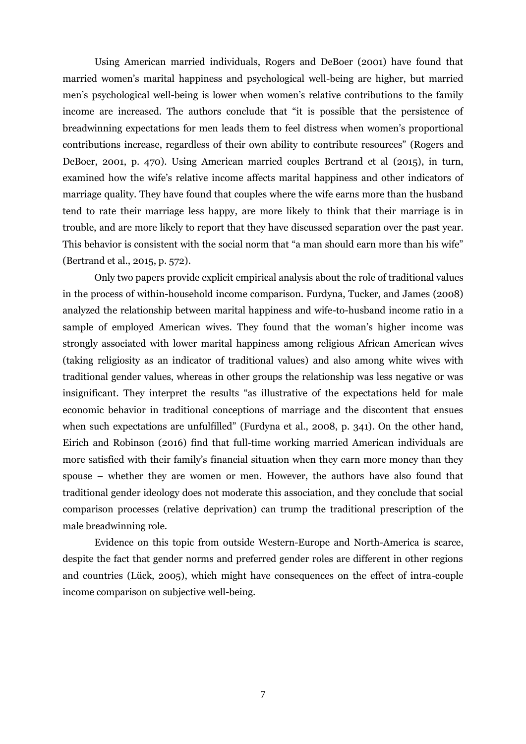Using American married individuals, Rogers and DeBoer (2001) have found that married women's marital happiness and psychological well-being are higher, but married men's psychological well-being is lower when women's relative contributions to the family income are increased. The authors conclude that "it is possible that the persistence of breadwinning expectations for men leads them to feel distress when women's proportional contributions increase, regardless of their own ability to contribute resources" (Rogers and DeBoer, 2001, p. 470). Using American married couples Bertrand et al (2015), in turn, examined how the wife's relative income affects marital happiness and other indicators of marriage quality. They have found that couples where the wife earns more than the husband tend to rate their marriage less happy, are more likely to think that their marriage is in trouble, and are more likely to report that they have discussed separation over the past year. This behavior is consistent with the social norm that "a man should earn more than his wife" (Bertrand et al., 2015, p. 572).

Only two papers provide explicit empirical analysis about the role of traditional values in the process of within-household income comparison. Furdyna, Tucker, and James (2008) analyzed the relationship between marital happiness and wife-to-husband income ratio in a sample of employed American wives. They found that the woman's higher income was strongly associated with lower marital happiness among religious African American wives (taking religiosity as an indicator of traditional values) and also among white wives with traditional gender values, whereas in other groups the relationship was less negative or was insignificant. They interpret the results "as illustrative of the expectations held for male economic behavior in traditional conceptions of marriage and the discontent that ensues when such expectations are unfulfilled" (Furdyna et al., 2008, p. 341). On the other hand, Eirich and Robinson (2016) find that full-time working married American individuals are more satisfied with their family's financial situation when they earn more money than they spouse – whether they are women or men. However, the authors have also found that traditional gender ideology does not moderate this association, and they conclude that social comparison processes (relative deprivation) can trump the traditional prescription of the male breadwinning role.

Evidence on this topic from outside Western-Europe and North-America is scarce, despite the fact that gender norms and preferred gender roles are different in other regions and countries (Lück, 2005), which might have consequences on the effect of intra-couple income comparison on subjective well-being.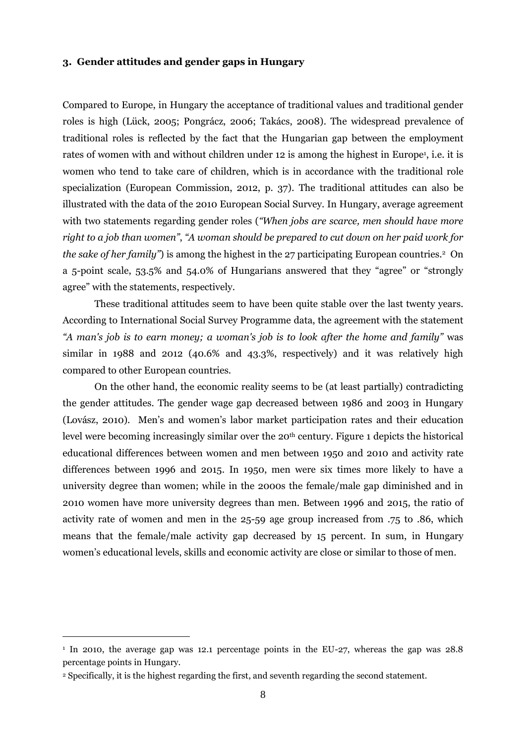#### **3. Gender attitudes and gender gaps in Hungary**

Compared to Europe, in Hungary the acceptance of traditional values and traditional gender roles is high (Lück, 2005; Pongrácz, 2006; Takács, 2008). The widespread prevalence of traditional roles is reflected by the fact that the Hungarian gap between the employment rates of women with and without children under 12 is among the highest in Europe<sup>1</sup>, i.e. it is women who tend to take care of children, which is in accordance with the traditional role specialization (European Commission, 2012, p. 37). The traditional attitudes can also be illustrated with the data of the 2010 European Social Survey. In Hungary, average agreement with two statements regarding gender roles (*"When jobs are scarce, men should have more right to a job than women"*, *"A woman should be prepared to cut down on her paid work for the sake of her family*") is among the highest in the 27 participating European countries.<sup>2</sup> On a 5-point scale, 53.5% and 54.0% of Hungarians answered that they "agree" or "strongly agree" with the statements, respectively.

These traditional attitudes seem to have been quite stable over the last twenty years. According to International Social Survey Programme data, the agreement with the statement *"A man's job is to earn money; a woman's job is to look after the home and family"* was similar in 1988 and 2012 (40.6% and 43.3%, respectively) and it was relatively high compared to other European countries.

On the other hand, the economic reality seems to be (at least partially) contradicting the gender attitudes. The gender wage gap decreased between 1986 and 2003 in Hungary (Lovász, 2010). Men's and women's labor market participation rates and their education level were becoming increasingly similar over the 20<sup>th</sup> century. [Figure 1](#page-8-0) depicts the historical educational differences between women and men between 1950 and 2010 and activity rate differences between 1996 and 2015. In 1950, men were six times more likely to have a university degree than women; while in the 2000s the female/male gap diminished and in 2010 women have more university degrees than men. Between 1996 and 2015, the ratio of activity rate of women and men in the 25-59 age group increased from .75 to .86, which means that the female/male activity gap decreased by 15 percent. In sum, in Hungary women's educational levels, skills and economic activity are close or similar to those of men.

 $\overline{a}$ 

<sup>1</sup> In 2010, the average gap was 12.1 percentage points in the EU-27, whereas the gap was 28.8 percentage points in Hungary.

<sup>2</sup> Specifically, it is the highest regarding the first, and seventh regarding the second statement.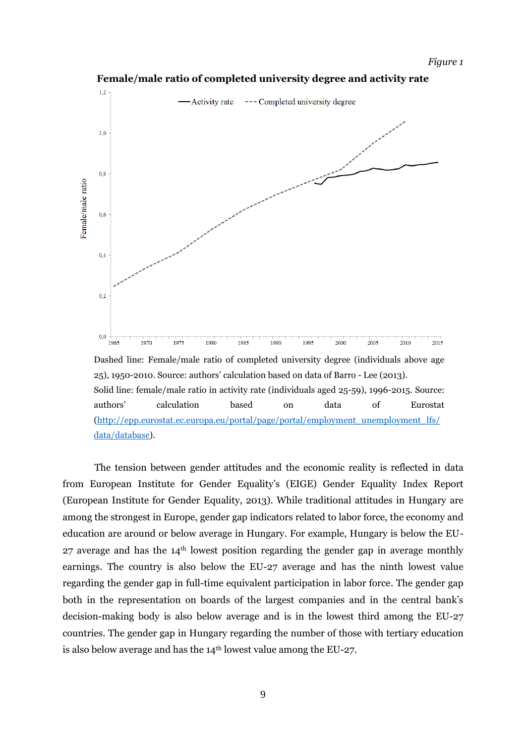<span id="page-8-0"></span>

**Female/male ratio of completed university degree and activity rate**

25), 1950-2010. Source: authors' calculation based on data of Barro - Lee (2013). Solid line: female/male ratio in activity rate (individuals aged 25-59), 1996-2015. Source: authors' calculation based on data of Eurostat [\(http://epp.eurostat.ec.europa.eu/portal/page/portal/employment\\_unemployment\\_lfs/](http://epp.eurostat.ec.europa.eu/portal/page/portal/employment_unemployment_lfs/data/database) [data/database\)](http://epp.eurostat.ec.europa.eu/portal/page/portal/employment_unemployment_lfs/data/database).

The tension between gender attitudes and the economic reality is reflected in data from European Institute for Gender Equality's (EIGE) Gender Equality Index Report (European Institute for Gender Equality, 2013). While traditional attitudes in Hungary are among the strongest in Europe, gender gap indicators related to labor force, the economy and education are around or below average in Hungary. For example, Hungary is below the EU- $27$  average and has the  $14<sup>th</sup>$  lowest position regarding the gender gap in average monthly earnings. The country is also below the EU-27 average and has the ninth lowest value regarding the gender gap in full-time equivalent participation in labor force. The gender gap both in the representation on boards of the largest companies and in the central bank's decision-making body is also below average and is in the lowest third among the EU-27 countries. The gender gap in Hungary regarding the number of those with tertiary education is also below average and has the  $14<sup>th</sup>$  lowest value among the EU-27.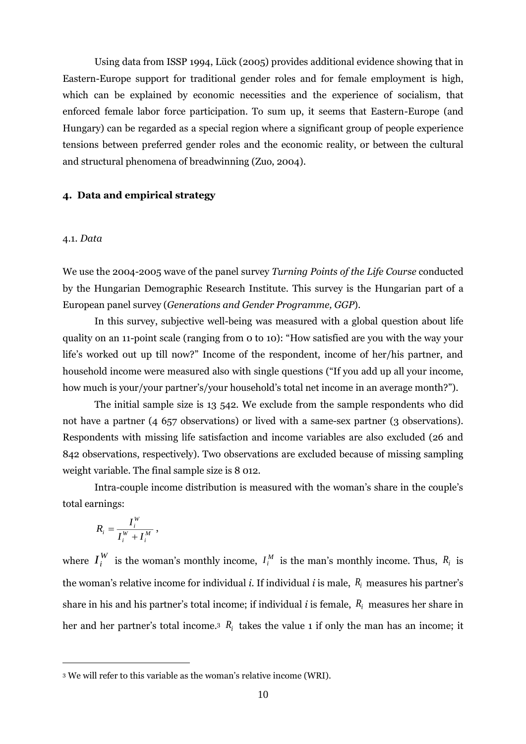Using data from ISSP 1994, Lück (2005) provides additional evidence showing that in Eastern-Europe support for traditional gender roles and for female employment is high, which can be explained by economic necessities and the experience of socialism, that enforced female labor force participation. To sum up, it seems that Eastern-Europe (and Hungary) can be regarded as a special region where a significant group of people experience tensions between preferred gender roles and the economic reality, or between the cultural and structural phenomena of breadwinning (Zuo, 2004).

#### **4. Data and empirical strategy**

#### 4.1. *Data*

We use the 2004-2005 wave of the panel survey *Turning Points of the Life Course* conducted by the Hungarian Demographic Research Institute*.* This survey is the Hungarian part of a European panel survey (*Generations and Gender Programme, GGP*).

In this survey, subjective well-being was measured with a global question about life quality on an 11-point scale (ranging from 0 to 10): "How satisfied are you with the way your life's worked out up till now?" Income of the respondent, income of her/his partner, and household income were measured also with single questions ("If you add up all your income, how much is your/your partner's/your household's total net income in an average month?").

The initial sample size is 13 542. We exclude from the sample respondents who did not have a partner (4 657 observations) or lived with a same-sex partner (3 observations). Respondents with missing life satisfaction and income variables are also excluded (26 and 842 observations, respectively). Two observations are excluded because of missing sampling weight variable. The final sample size is 8 012.

Intra-couple income distribution is measured with the woman's share in the couple's total earnings:

$$
R_i = \frac{I_i^W}{I_i^W + I_i^M},
$$

 $\overline{a}$ 

where  $I_i^W$  $I_i^W$  is the woman's monthly income,  $I_i^M$  is the man's monthly income. Thus,  $R_i$  is the woman's relative income for individual *i*. If individual *i* is male, *R<sup>i</sup>* measures his partner's share in his and his partner's total income; if individual *i* is female, *R<sup>i</sup>* measures her share in her and her partner's total income.<sup>3</sup>  $R_i$  takes the value 1 if only the man has an income; it

<sup>3</sup> We will refer to this variable as the woman's relative income (WRI).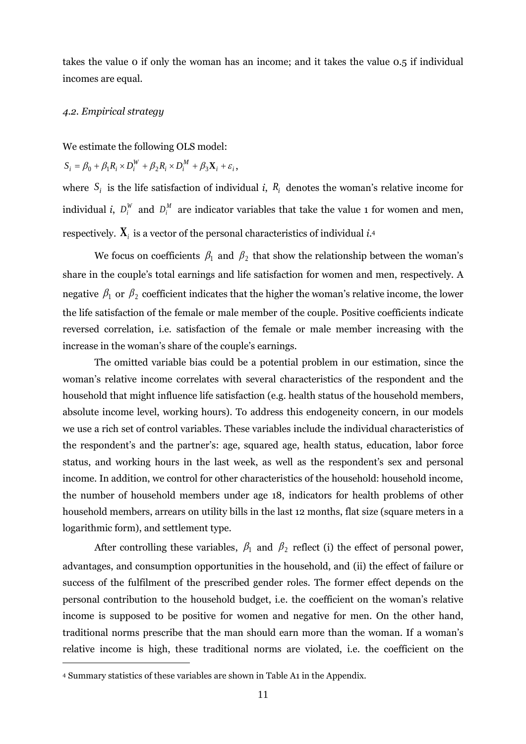takes the value 0 if only the woman has an income; and it takes the value 0.5 if individual incomes are equal.

#### *4.2. Empirical strategy*

We estimate the following OLS model:

$$
S_i = \beta_0 + \beta_1 R_i \times D_i^W + \beta_2 R_i \times D_i^M + \beta_3 \mathbf{X}_i + \varepsilon_i,
$$

where  $S_i$  is the life satisfaction of individual *i*,  $R_i$  denotes the woman's relative income for individual *i*,  $D_i^W$  and  $D_i^M$  are indicator variables that take the value 1 for women and men, respectively.  $\mathbf{X}_i$  is a vector of the personal characteristics of individual *i*.4

We focus on coefficients  $\beta_1$  and  $\beta_2$  that show the relationship between the woman's share in the couple's total earnings and life satisfaction for women and men, respectively. A negative  $\beta_1$  or  $\beta_2$  coefficient indicates that the higher the woman's relative income, the lower the life satisfaction of the female or male member of the couple. Positive coefficients indicate reversed correlation, i.e. satisfaction of the female or male member increasing with the increase in the woman's share of the couple's earnings.

The omitted variable bias could be a potential problem in our estimation, since the woman's relative income correlates with several characteristics of the respondent and the household that might influence life satisfaction (e.g. health status of the household members, absolute income level, working hours). To address this endogeneity concern, in our models we use a rich set of control variables. These variables include the individual characteristics of the respondent's and the partner's: age, squared age, health status, education, labor force status, and working hours in the last week, as well as the respondent's sex and personal income. In addition, we control for other characteristics of the household: household income, the number of household members under age 18, indicators for health problems of other household members, arrears on utility bills in the last 12 months, flat size (square meters in a logarithmic form), and settlement type.

After controlling these variables,  $\beta_1$  and  $\beta_2$  reflect (i) the effect of personal power, advantages, and consumption opportunities in the household, and (ii) the effect of failure or success of the fulfilment of the prescribed gender roles. The former effect depends on the personal contribution to the household budget, i.e. the coefficient on the woman's relative income is supposed to be positive for women and negative for men. On the other hand, traditional norms prescribe that the man should earn more than the woman. If a woman's relative income is high, these traditional norms are violated, i.e. the coefficient on the

 $\overline{a}$ 

<sup>4</sup> Summary statistics of these variables are shown in [Table A1](#page-25-0) in the Appendix.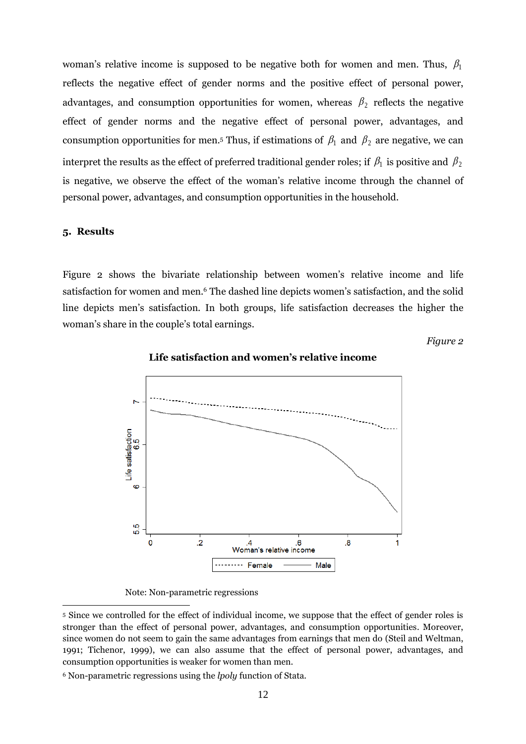woman's relative income is supposed to be negative both for women and men. Thus,  $\beta_1$ reflects the negative effect of gender norms and the positive effect of personal power, advantages, and consumption opportunities for women, whereas  $\beta_2$  reflects the negative effect of gender norms and the negative effect of personal power, advantages, and consumption opportunities for men.<sup>5</sup> Thus, if estimations of  $\beta_1$  and  $\beta_2$  are negative, we can interpret the results as the effect of preferred traditional gender roles; if  $\beta_1$  is positive and  $\beta_2$ is negative, we observe the effect of the woman's relative income through the channel of personal power, advantages, and consumption opportunities in the household.

#### **5. Results**

 $\overline{a}$ 

<span id="page-11-0"></span>[Figure 2](#page-11-0) shows the bivariate relationship between women's relative income and life satisfaction for women and men.<sup>6</sup> The dashed line depicts women's satisfaction, and the solid line depicts men's satisfaction. In both groups, life satisfaction decreases the higher the woman's share in the couple's total earnings.

*Figure 2*



#### **Life satisfaction and women's relative income**

Note: Non-parametric regressions

<sup>5</sup> Since we controlled for the effect of individual income, we suppose that the effect of gender roles is stronger than the effect of personal power, advantages, and consumption opportunities. Moreover, since women do not seem to gain the same advantages from earnings that men do (Steil and Weltman, 1991; Tichenor, 1999), we can also assume that the effect of personal power, advantages, and consumption opportunities is weaker for women than men.

<sup>6</sup> Non-parametric regressions using the *lpoly* function of Stata.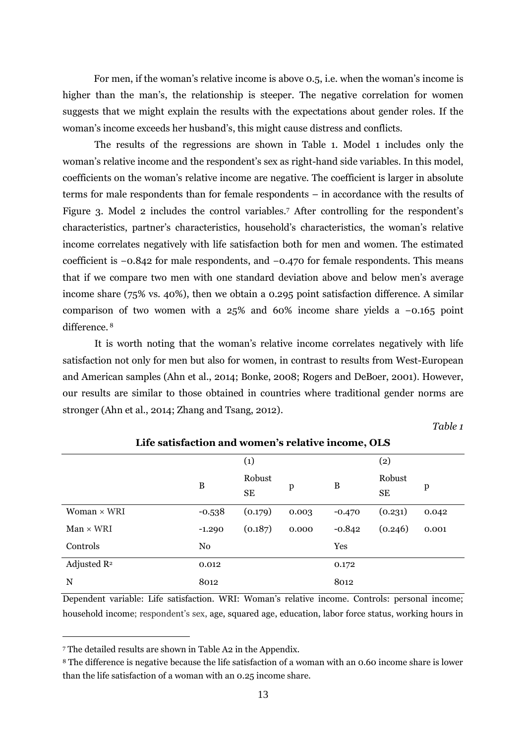For men, if the woman's relative income is above 0.5, i.e. when the woman's income is higher than the man's, the relationship is steeper. The negative correlation for women suggests that we might explain the results with the expectations about gender roles. If the woman's income exceeds her husband's, this might cause distress and conflicts.

The results of the regressions are shown in [Table 1.](#page-12-0) Model 1 includes only the woman's relative income and the respondent's sex as right-hand side variables. In this model, coefficients on the woman's relative income are negative. The coefficient is larger in absolute terms for male respondents than for female respondents – in accordance with the results of Figure 3. Model 2 includes the control variables.<sup>7</sup> After controlling for the respondent's characteristics, partner's characteristics, household's characteristics, the woman's relative income correlates negatively with life satisfaction both for men and women. The estimated coefficient is −0.842 for male respondents, and −0.470 for female respondents. This means that if we compare two men with one standard deviation above and below men's average income share (75% vs. 40%), then we obtain a 0.295 point satisfaction difference. A similar comparison of two women with a 25% and 60% income share yields a −0.165 point difference. <sup>8</sup>

It is worth noting that the woman's relative income correlates negatively with life satisfaction not only for men but also for women, in contrast to results from West-European and American samples (Ahn et al., 2014; Bonke, 2008; Rogers and DeBoer, 2001). However, our results are similar to those obtained in countries where traditional gender norms are stronger (Ahn et al., 2014; Zhang and Tsang, 2012).

*Table 1*

<span id="page-12-0"></span>

| Life satisfaction and women's relative income, OLS |              |                     |       |            |              |       |  |  |
|----------------------------------------------------|--------------|---------------------|-------|------------|--------------|-------|--|--|
|                                                    |              | $\left( 1\right)$   |       |            | (2)          |       |  |  |
|                                                    | $\, {\bf B}$ | Robust<br><b>SE</b> | p     | B          | Robust<br>SE | p     |  |  |
| Woman $\times$ WRI                                 | $-0.538$     | (0.179)             | 0.003 | $-0.470$   | (0.231)      | 0.042 |  |  |
| $Man \times WRI$                                   | $-1.290$     | (0.187)             | 0.000 | $-0.842$   | (0.246)      | 0.001 |  |  |
| Controls                                           | No           |                     |       | <b>Yes</b> |              |       |  |  |
| Adjusted $\mathbb{R}^2$                            | 0.012        |                     |       | 0.172      |              |       |  |  |
| N                                                  | 8012         |                     |       | 8012       |              |       |  |  |

Dependent variable: Life satisfaction. WRI: Woman's relative income. Controls: personal income; household income; respondent's sex, age, squared age, education, labor force status, working hours in

 $\overline{a}$ 

<sup>7</sup> The detailed results are shown in [Table A2](#page-26-0) in the Appendix.

<sup>8</sup> The difference is negative because the life satisfaction of a woman with an 0.60 income share is lower than the life satisfaction of a woman with an 0.25 income share.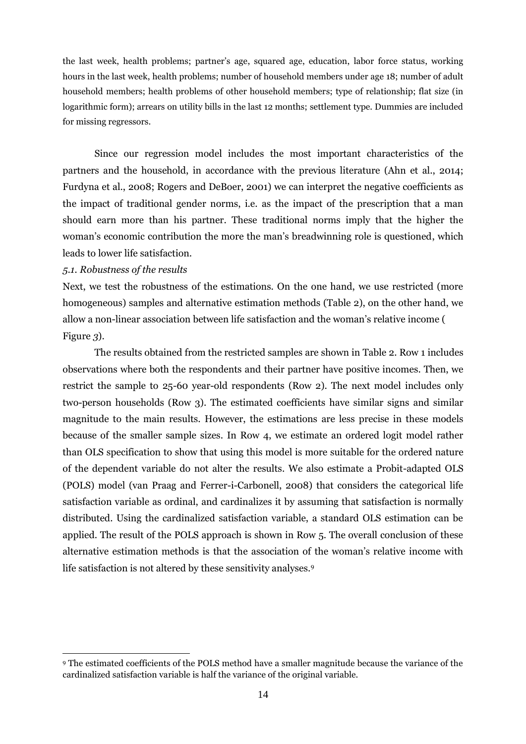the last week, health problems; partner's age, squared age, education, labor force status, working hours in the last week, health problems; number of household members under age 18; number of adult household members; health problems of other household members; type of relationship; flat size (in logarithmic form); arrears on utility bills in the last 12 months; settlement type. Dummies are included for missing regressors.

Since our regression model includes the most important characteristics of the partners and the household, in accordance with the previous literature (Ahn et al., 2014; Furdyna et al., 2008; Rogers and DeBoer, 2001) we can interpret the negative coefficients as the impact of traditional gender norms, i.e. as the impact of the prescription that a man should earn more than his partner. These traditional norms imply that the higher the woman's economic contribution the more the man's breadwinning role is questioned, which leads to lower life satisfaction.

#### *5.1. Robustness of the results*

 $\overline{a}$ 

Next, we test the robustness of the estimations. On the one hand, we use restricted (more homogeneous) samples and alternative estimation methods [\(Table 2\)](#page-14-0), on the other hand, we allow a non-linear association between life satisfaction and the woman's relative income [\(](#page-15-0) [Figure](#page-15-0) *3*).

The results obtained from the restricted samples are shown in [Table 2.](#page-14-0) Row 1 includes observations where both the respondents and their partner have positive incomes. Then, we restrict the sample to 25-60 year-old respondents (Row 2). The next model includes only two-person households (Row 3). The estimated coefficients have similar signs and similar magnitude to the main results. However, the estimations are less precise in these models because of the smaller sample sizes. In Row 4, we estimate an ordered logit model rather than OLS specification to show that using this model is more suitable for the ordered nature of the dependent variable do not alter the results. We also estimate a Probit-adapted OLS (POLS) model (van Praag and Ferrer-i-Carbonell, 2008) that considers the categorical life satisfaction variable as ordinal, and cardinalizes it by assuming that satisfaction is normally distributed. Using the cardinalized satisfaction variable, a standard OLS estimation can be applied. The result of the POLS approach is shown in Row 5. The overall conclusion of these alternative estimation methods is that the association of the woman's relative income with life satisfaction is not altered by these sensitivity analyses.<sup>9</sup>

<sup>9</sup> The estimated coefficients of the POLS method have a smaller magnitude because the variance of the cardinalized satisfaction variable is half the variance of the original variable.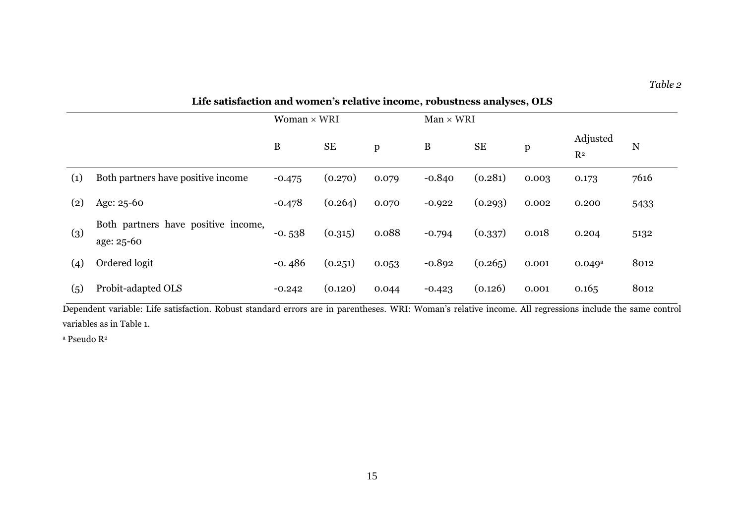|     | Life satisfaction and women's relative income, robustness analyses, OLS |              |                    |              |          |                  |              |                            |      |
|-----|-------------------------------------------------------------------------|--------------|--------------------|--------------|----------|------------------|--------------|----------------------------|------|
|     |                                                                         |              | Woman $\times$ WRI |              |          | $Man \times WRI$ |              |                            |      |
|     |                                                                         | $\, {\bf B}$ | <b>SE</b>          | $\mathbf{p}$ | $\bf{B}$ | <b>SE</b>        | $\, {\bf p}$ | Adjusted<br>R <sup>2</sup> | N    |
| (1) | Both partners have positive income                                      | $-0.475$     | (0.270)            | 0.079        | $-0.840$ | (0.281)          | 0.003        | 0.173                      | 7616 |
| (2) | Age: 25-60                                                              | $-0.478$     | (0.264)            | 0.070        | $-0.922$ | (0.293)          | 0.002        | 0.200                      | 5433 |
| (3) | Both partners have positive income,<br>age: 25-60                       | $-0.538$     | (0.315)            | 0.088        | $-0.794$ | (0.337)          | 0.018        | 0.204                      | 5132 |
| (4) | Ordered logit                                                           | $-0.486$     | (0.251)            | 0.053        | $-0.892$ | (0.265)          | 0.001        | $0.049$ <sup>a</sup>       | 8012 |
| (5) | Probit-adapted OLS                                                      | $-0.242$     | (0.120)            | 0.044        | $-0.423$ | (0.126)          | 0.001        | 0.165                      | 8012 |

<span id="page-14-0"></span>Dependent variable: Life satisfaction. Robust standard errors are in parentheses. WRI: Woman's relative income. All regressions include the same control variables as in Table 1.

 $^{\rm a}$ Pseudo R $^{\rm 2}$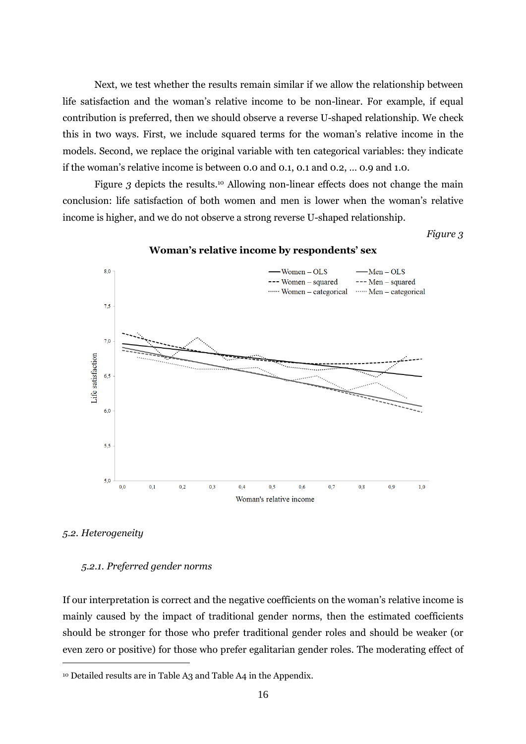Next, we test whether the results remain similar if we allow the relationship between life satisfaction and the woman's relative income to be non-linear. For example, if equal contribution is preferred, then we should observe a reverse U-shaped relationship. We check this in two ways. First, we include squared terms for the woman's relative income in the models. Second, we replace the original variable with ten categorical variables: they indicate if the woman's relative income is between 0.0 and 0.1, 0.1 and 0.2, … 0.9 and 1.0.

[Figure](#page-15-0) 3 depicts the results.<sup>10</sup> Allowing non-linear effects does not change the main conclusion: life satisfaction of both women and men is lower when the woman's relative income is higher, and we do not observe a strong reverse U-shaped relationship.

<span id="page-15-0"></span>*Figure 3*



**Woman's relative income by respondents' sex**

#### *5.2. Heterogeneity*

 $\overline{a}$ 

#### *5.2.1. Preferred gender norms*

If our interpretation is correct and the negative coefficients on the woman's relative income is mainly caused by the impact of traditional gender norms, then the estimated coefficients should be stronger for those who prefer traditional gender roles and should be weaker (or even zero or positive) for those who prefer egalitarian gender roles. The moderating effect of

<sup>10</sup> Detailed results are in [Table A3](#page-28-0) and [Table A4](#page-29-0) in the Appendix.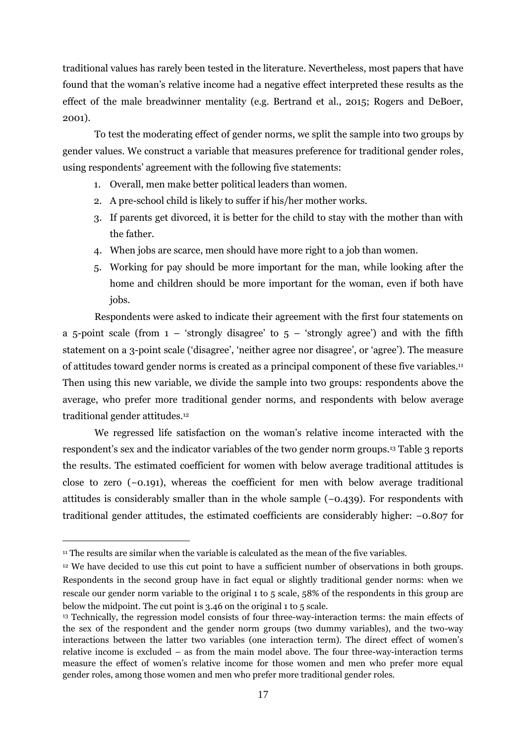traditional values has rarely been tested in the literature. Nevertheless, most papers that have found that the woman's relative income had a negative effect interpreted these results as the effect of the male breadwinner mentality (e.g. Bertrand et al., 2015; Rogers and DeBoer, 2001).

To test the moderating effect of gender norms, we split the sample into two groups by gender values. We construct a variable that measures preference for traditional gender roles, using respondents' agreement with the following five statements:

- 1. Overall, men make better political leaders than women.
- 2. A pre-school child is likely to suffer if his/her mother works.
- 3. If parents get divorced, it is better for the child to stay with the mother than with the father.
- 4. When jobs are scarce, men should have more right to a job than women.
- 5. Working for pay should be more important for the man, while looking after the home and children should be more important for the woman, even if both have jobs.

Respondents were asked to indicate their agreement with the first four statements on a 5-point scale (from  $1 -$  'strongly disagree' to  $5 -$  'strongly agree') and with the fifth statement on a 3-point scale ('disagree', 'neither agree nor disagree', or 'agree'). The measure of attitudes toward gender norms is created as a principal component of these five variables.<sup>11</sup> Then using this new variable, we divide the sample into two groups: respondents above the average, who prefer more traditional gender norms, and respondents with below average traditional gender attitudes. 12

We regressed life satisfaction on the woman's relative income interacted with the respondent's sex and the indicator variables of the two gender norm groups.<sup>13</sup> [Table 3](#page-17-0) reports the results. The estimated coefficient for women with below average traditional attitudes is close to zero (−0.191), whereas the coefficient for men with below average traditional attitudes is considerably smaller than in the whole sample (−0.439). For respondents with traditional gender attitudes, the estimated coefficients are considerably higher: −0.807 for

 $\overline{a}$ 

<sup>&</sup>lt;sup>11</sup> The results are similar when the variable is calculated as the mean of the five variables.

<sup>&</sup>lt;sup>12</sup> We have decided to use this cut point to have a sufficient number of observations in both groups. Respondents in the second group have in fact equal or slightly traditional gender norms: when we rescale our gender norm variable to the original 1 to 5 scale, 58% of the respondents in this group are below the midpoint. The cut point is 3.46 on the original 1 to 5 scale.

<sup>13</sup> Technically, the regression model consists of four three-way-interaction terms: the main effects of the sex of the respondent and the gender norm groups (two dummy variables), and the two-way interactions between the latter two variables (one interaction term). The direct effect of women's relative income is excluded – as from the main model above. The four three-way-interaction terms measure the effect of women's relative income for those women and men who prefer more equal gender roles, among those women and men who prefer more traditional gender roles.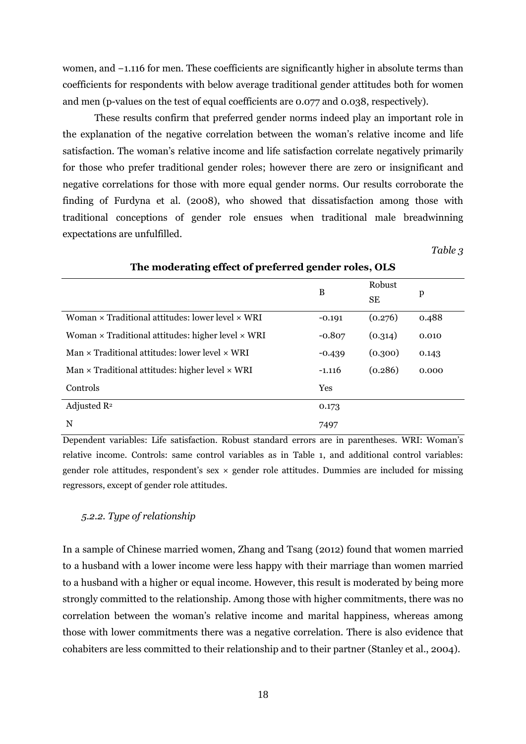women, and −1.116 for men. These coefficients are significantly higher in absolute terms than coefficients for respondents with below average traditional gender attitudes both for women and men (p-values on the test of equal coefficients are 0.077 and 0.038, respectively).

These results confirm that preferred gender norms indeed play an important role in the explanation of the negative correlation between the woman's relative income and life satisfaction. The woman's relative income and life satisfaction correlate negatively primarily for those who prefer traditional gender roles; however there are zero or insignificant and negative correlations for those with more equal gender norms. Our results corroborate the finding of Furdyna et al. (2008), who showed that dissatisfaction among those with traditional conceptions of gender role ensues when traditional male breadwinning expectations are unfulfilled.

*Table 3*

<span id="page-17-0"></span>

| The moderating enect of preferred genuer roles, OLD             |          |              |       |  |  |  |
|-----------------------------------------------------------------|----------|--------------|-------|--|--|--|
|                                                                 | B        | Robust<br>SE | p     |  |  |  |
| Woman $\times$ Traditional attitudes: lower level $\times$ WRI  | $-0.191$ | (0.276)      | 0.488 |  |  |  |
| Woman $\times$ Traditional attitudes: higher level $\times$ WRI | $-0.807$ | (0.314)      | 0.010 |  |  |  |
| Man $\times$ Traditional attitudes: lower level $\times$ WRI    | $-0.439$ | (0.300)      | 0.143 |  |  |  |
| Man $\times$ Traditional attitudes: higher level $\times$ WRI   | $-1.116$ | (0.286)      | 0.000 |  |  |  |
| Controls                                                        | Yes      |              |       |  |  |  |
| Adjusted $\mathbb{R}^2$                                         | 0.173    |              |       |  |  |  |
| N                                                               | 7497     |              |       |  |  |  |

**The moderating effect of preferred gender roles, OLS**

Dependent variables: Life satisfaction. Robust standard errors are in parentheses. WRI: Woman's relative income. Controls: same control variables as in Table 1, and additional control variables: gender role attitudes, respondent's sex  $\times$  gender role attitudes. Dummies are included for missing regressors, except of gender role attitudes.

#### *5.2.2. Type of relationship*

In a sample of Chinese married women, Zhang and Tsang (2012) found that women married to a husband with a lower income were less happy with their marriage than women married to a husband with a higher or equal income. However, this result is moderated by being more strongly committed to the relationship. Among those with higher commitments, there was no correlation between the woman's relative income and marital happiness, whereas among those with lower commitments there was a negative correlation. There is also evidence that cohabiters are less committed to their relationship and to their partner (Stanley et al., 2004).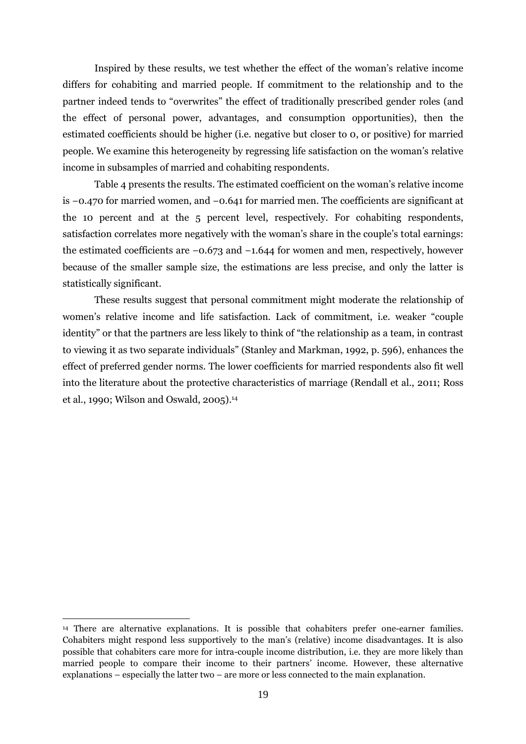Inspired by these results, we test whether the effect of the woman's relative income differs for cohabiting and married people. If commitment to the relationship and to the partner indeed tends to "overwrites" the effect of traditionally prescribed gender roles (and the effect of personal power, advantages, and consumption opportunities), then the estimated coefficients should be higher (i.e. negative but closer to 0, or positive) for married people. We examine this heterogeneity by regressing life satisfaction on the woman's relative income in subsamples of married and cohabiting respondents.

[Table 4](#page-19-0) presents the results. The estimated coefficient on the woman's relative income is −0.470 for married women, and −0.641 for married men. The coefficients are significant at the 10 percent and at the 5 percent level, respectively. For cohabiting respondents, satisfaction correlates more negatively with the woman's share in the couple's total earnings: the estimated coefficients are −0.673 and −1.644 for women and men, respectively, however because of the smaller sample size, the estimations are less precise, and only the latter is statistically significant.

These results suggest that personal commitment might moderate the relationship of women's relative income and life satisfaction. Lack of commitment, i.e. weaker "couple identity" or that the partners are less likely to think of "the relationship as a team, in contrast to viewing it as two separate individuals" (Stanley and Markman, 1992, p. 596), enhances the effect of preferred gender norms. The lower coefficients for married respondents also fit well into the literature about the protective characteristics of marriage (Rendall et al., 2011; Ross et al., 1990; Wilson and Oswald, 2005). 14

 $\overline{a}$ <sup>14</sup> There are alternative explanations. It is possible that cohabiters prefer one-earner families. Cohabiters might respond less supportively to the man's (relative) income disadvantages. It is also possible that cohabiters care more for intra-couple income distribution, i.e. they are more likely than married people to compare their income to their partners' income. However, these alternative explanations – especially the latter two – are more or less connected to the main explanation.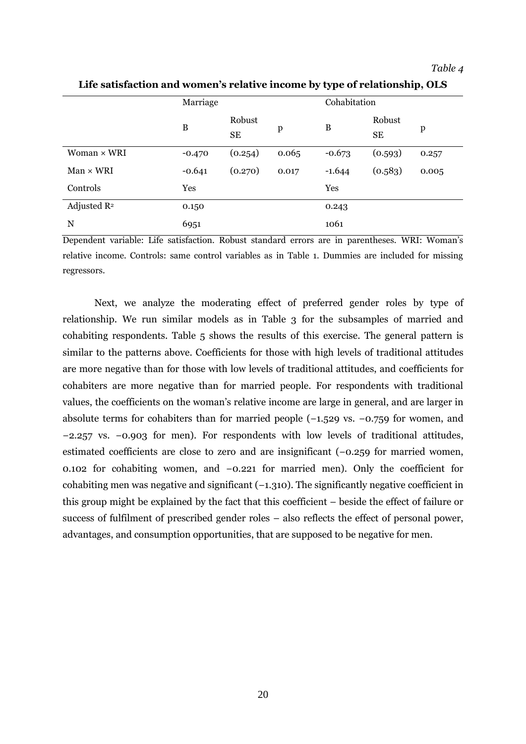#### *Table 4*

|                         | Marriage         |                     |              | Cohabitation |                     |       |
|-------------------------|------------------|---------------------|--------------|--------------|---------------------|-------|
|                         | $\boldsymbol{B}$ | Robust<br><b>SE</b> | $\mathbf{p}$ | B            | Robust<br><b>SE</b> | p     |
| Woman × WRI             | $-0.470$         | (0.254)             | 0.065        | $-0.673$     | (0.593)             | 0.257 |
| $Man \times WRI$        | $-0.641$         | (0.270)             | 0.017        | $-1.644$     | (0.583)             | 0.005 |
| Controls                | Yes              |                     |              | Yes          |                     |       |
| Adjusted R <sup>2</sup> | 0.150            |                     |              | 0.243        |                     |       |
| N                       | 6951             |                     |              | 1061         |                     |       |

<span id="page-19-0"></span>**Life satisfaction and women's relative income by type of relationship, OLS**

Dependent variable: Life satisfaction. Robust standard errors are in parentheses. WRI: Woman's relative income. Controls: same control variables as in Table 1. Dummies are included for missing regressors.

Next, we analyze the moderating effect of preferred gender roles by type of relationship. We run similar models as in [Table 3](#page-17-0) for the subsamples of married and cohabiting respondents. [Table 5](#page-20-0) shows the results of this exercise. The general pattern is similar to the patterns above. Coefficients for those with high levels of traditional attitudes are more negative than for those with low levels of traditional attitudes, and coefficients for cohabiters are more negative than for married people. For respondents with traditional values, the coefficients on the woman's relative income are large in general, and are larger in absolute terms for cohabiters than for married people (−1.529 vs. −0.759 for women, and −2.257 vs. −0.903 for men). For respondents with low levels of traditional attitudes, estimated coefficients are close to zero and are insignificant (−0.259 for married women, 0.102 for cohabiting women, and −0.221 for married men). Only the coefficient for cohabiting men was negative and significant (−1.310). The significantly negative coefficient in this group might be explained by the fact that this coefficient – beside the effect of failure or success of fulfilment of prescribed gender roles – also reflects the effect of personal power, advantages, and consumption opportunities, that are supposed to be negative for men.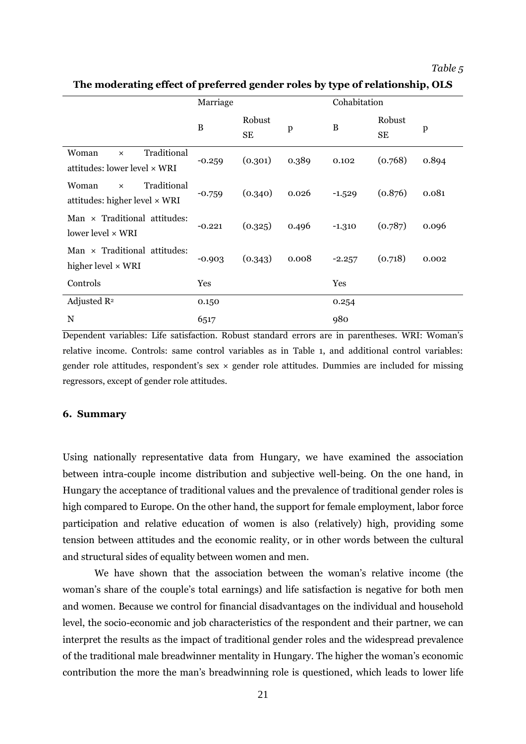*Table 5*

|                                                                          | Marriage |                     |              | Cohabitation |                     |              |
|--------------------------------------------------------------------------|----------|---------------------|--------------|--------------|---------------------|--------------|
|                                                                          | $\bf{B}$ | Robust<br><b>SE</b> | $\, {\bf p}$ | $\, {\bf B}$ | Robust<br><b>SE</b> | $\mathbf{p}$ |
| Traditional<br>Woman<br>$\times$<br>attitudes: lower level × WRI         | $-0.259$ | (0.301)             | 0.389        | 0.102        | (0.768)             | 0.894        |
| Traditional<br>Woman<br>$\times$<br>attitudes: higher level $\times$ WRI | $-0.759$ | (0.340)             | 0.026        | $-1.529$     | (0.876)             | 0.081        |
| Man $\times$ Traditional attitudes:<br>lower level × WRI                 | $-0.221$ | (0.325)             | 0.496        | $-1.310$     | (0.787)             | 0.096        |
| Man $\times$ Traditional attitudes:<br>higher level $\times$ WRI         | $-0.903$ | (0.343)             | 0.008        | $-2.257$     | (0.718)             | 0.002        |
| Controls                                                                 | Yes      |                     |              | Yes          |                     |              |
| Adjusted $\mathbb{R}^2$                                                  | 0.150    |                     |              | 0.254        |                     |              |
| N                                                                        | 6517     |                     |              | 980          |                     |              |

<span id="page-20-0"></span>**The moderating effect of preferred gender roles by type of relationship, OLS**

Dependent variables: Life satisfaction. Robust standard errors are in parentheses. WRI: Woman's relative income. Controls: same control variables as in Table 1, and additional control variables: gender role attitudes, respondent's sex  $\times$  gender role attitudes. Dummies are included for missing regressors, except of gender role attitudes.

#### **6. Summary**

Using nationally representative data from Hungary, we have examined the association between intra-couple income distribution and subjective well-being. On the one hand, in Hungary the acceptance of traditional values and the prevalence of traditional gender roles is high compared to Europe. On the other hand, the support for female employment, labor force participation and relative education of women is also (relatively) high, providing some tension between attitudes and the economic reality, or in other words between the cultural and structural sides of equality between women and men.

We have shown that the association between the woman's relative income (the woman's share of the couple's total earnings) and life satisfaction is negative for both men and women. Because we control for financial disadvantages on the individual and household level, the socio-economic and job characteristics of the respondent and their partner, we can interpret the results as the impact of traditional gender roles and the widespread prevalence of the traditional male breadwinner mentality in Hungary. The higher the woman's economic contribution the more the man's breadwinning role is questioned, which leads to lower life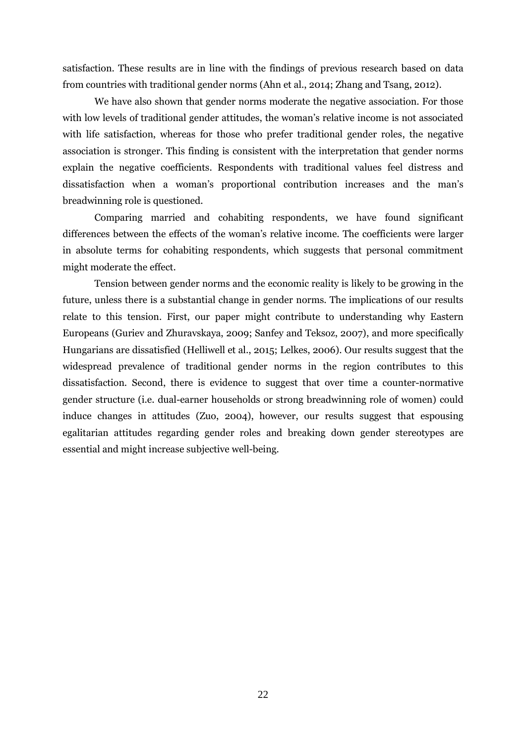satisfaction. These results are in line with the findings of previous research based on data from countries with traditional gender norms (Ahn et al., 2014; Zhang and Tsang, 2012).

We have also shown that gender norms moderate the negative association. For those with low levels of traditional gender attitudes, the woman's relative income is not associated with life satisfaction, whereas for those who prefer traditional gender roles, the negative association is stronger. This finding is consistent with the interpretation that gender norms explain the negative coefficients. Respondents with traditional values feel distress and dissatisfaction when a woman's proportional contribution increases and the man's breadwinning role is questioned.

Comparing married and cohabiting respondents, we have found significant differences between the effects of the woman's relative income. The coefficients were larger in absolute terms for cohabiting respondents, which suggests that personal commitment might moderate the effect.

Tension between gender norms and the economic reality is likely to be growing in the future, unless there is a substantial change in gender norms. The implications of our results relate to this tension. First, our paper might contribute to understanding why Eastern Europeans (Guriev and Zhuravskaya, 2009; Sanfey and Teksoz, 2007), and more specifically Hungarians are dissatisfied (Helliwell et al., 2015; Lelkes, 2006). Our results suggest that the widespread prevalence of traditional gender norms in the region contributes to this dissatisfaction. Second, there is evidence to suggest that over time a counter-normative gender structure (i.e. dual-earner households or strong breadwinning role of women) could induce changes in attitudes (Zuo, 2004), however, our results suggest that espousing egalitarian attitudes regarding gender roles and breaking down gender stereotypes are essential and might increase subjective well-being.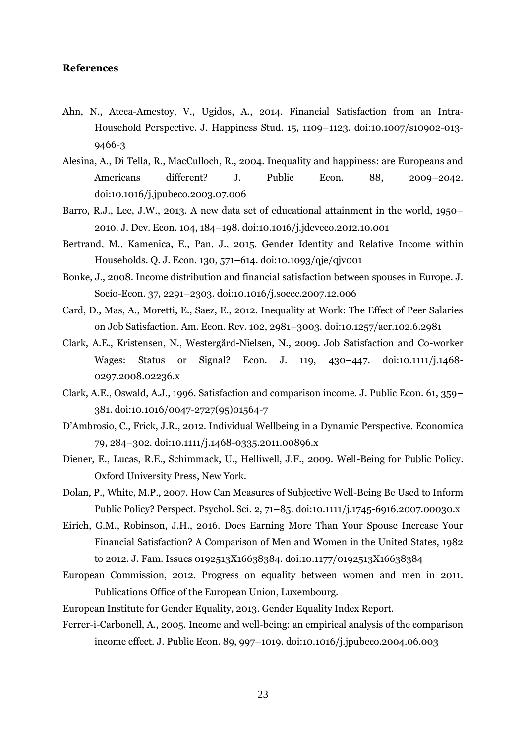#### **References**

- Ahn, N., Ateca-Amestoy, V., Ugidos, A., 2014. Financial Satisfaction from an Intra-Household Perspective. J. Happiness Stud. 15, 1109–1123. doi:10.1007/s10902-013- 9466-3
- Alesina, A., Di Tella, R., MacCulloch, R., 2004. Inequality and happiness: are Europeans and Americans different? J. Public Econ. 88, 2009-2042. doi:10.1016/j.jpubeco.2003.07.006
- Barro, R.J., Lee, J.W., 2013. A new data set of educational attainment in the world, 1950– 2010. J. Dev. Econ. 104, 184–198. doi:10.1016/j.jdeveco.2012.10.001
- Bertrand, M., Kamenica, E., Pan, J., 2015. Gender Identity and Relative Income within Households. Q. J. Econ. 130, 571–614. doi:10.1093/qje/qjv001
- Bonke, J., 2008. Income distribution and financial satisfaction between spouses in Europe. J. Socio-Econ. 37, 2291–2303. doi:10.1016/j.socec.2007.12.006
- Card, D., Mas, A., Moretti, E., Saez, E., 2012. Inequality at Work: The Effect of Peer Salaries on Job Satisfaction. Am. Econ. Rev. 102, 2981–3003. doi:10.1257/aer.102.6.2981
- Clark, A.E., Kristensen, N., Westergård-Nielsen, N., 2009. Job Satisfaction and Co-worker Wages: Status or Signal? Econ. J. 119, 430–447. doi:10.1111/j.1468- 0297.2008.02236.x
- Clark, A.E., Oswald, A.J., 1996. Satisfaction and comparison income. J. Public Econ. 61, 359– 381. doi:10.1016/0047-2727(95)01564-7
- D'Ambrosio, C., Frick, J.R., 2012. Individual Wellbeing in a Dynamic Perspective. Economica 79, 284–302. doi:10.1111/j.1468-0335.2011.00896.x
- Diener, E., Lucas, R.E., Schimmack, U., Helliwell, J.F., 2009. Well-Being for Public Policy. Oxford University Press, New York.
- Dolan, P., White, M.P., 2007. How Can Measures of Subjective Well-Being Be Used to Inform Public Policy? Perspect. Psychol. Sci. 2, 71–85. doi:10.1111/j.1745-6916.2007.00030.x
- Eirich, G.M., Robinson, J.H., 2016. Does Earning More Than Your Spouse Increase Your Financial Satisfaction? A Comparison of Men and Women in the United States, 1982 to 2012. J. Fam. Issues 0192513X16638384. doi:10.1177/0192513X16638384
- European Commission, 2012. Progress on equality between women and men in 2011. Publications Office of the European Union, Luxembourg.
- European Institute for Gender Equality, 2013. Gender Equality Index Report.
- Ferrer-i-Carbonell, A., 2005. Income and well-being: an empirical analysis of the comparison income effect. J. Public Econ. 89, 997–1019. doi:10.1016/j.jpubeco.2004.06.003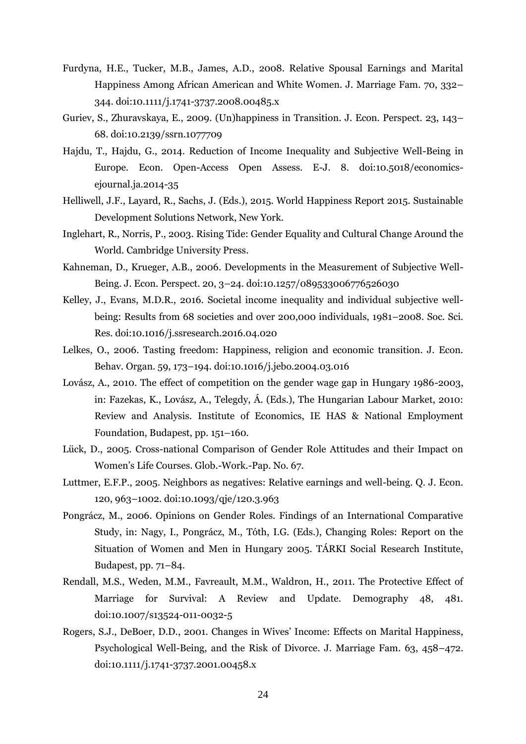- Furdyna, H.E., Tucker, M.B., James, A.D., 2008. Relative Spousal Earnings and Marital Happiness Among African American and White Women. J. Marriage Fam. 70, 332– 344. doi:10.1111/j.1741-3737.2008.00485.x
- Guriev, S., Zhuravskaya, E., 2009. (Un)happiness in Transition. J. Econ. Perspect. 23, 143– 68. doi:10.2139/ssrn.1077709
- Hajdu, T., Hajdu, G., 2014. Reduction of Income Inequality and Subjective Well-Being in Europe. Econ. Open-Access Open Assess. E-J. 8. doi:10.5018/economicsejournal.ja.2014-35
- Helliwell, J.F., Layard, R., Sachs, J. (Eds.), 2015. World Happiness Report 2015. Sustainable Development Solutions Network, New York.
- Inglehart, R., Norris, P., 2003. Rising Tide: Gender Equality and Cultural Change Around the World. Cambridge University Press.
- Kahneman, D., Krueger, A.B., 2006. Developments in the Measurement of Subjective Well-Being. J. Econ. Perspect. 20, 3–24. doi:10.1257/089533006776526030
- Kelley, J., Evans, M.D.R., 2016. Societal income inequality and individual subjective wellbeing: Results from 68 societies and over 200,000 individuals, 1981–2008. Soc. Sci. Res. doi:10.1016/j.ssresearch.2016.04.020
- Lelkes, O., 2006. Tasting freedom: Happiness, religion and economic transition. J. Econ. Behav. Organ. 59, 173–194. doi:10.1016/j.jebo.2004.03.016
- Lovász, A., 2010. The effect of competition on the gender wage gap in Hungary 1986-2003, in: Fazekas, K., Lovász, A., Telegdy, Á. (Eds.), The Hungarian Labour Market, 2010: Review and Analysis. Institute of Economics, IE HAS & National Employment Foundation, Budapest, pp. 151–160.
- Lück, D., 2005. Cross-national Comparison of Gender Role Attitudes and their Impact on Women's Life Courses. Glob.-Work.-Pap. No. 67.
- Luttmer, E.F.P., 2005. Neighbors as negatives: Relative earnings and well-being. Q. J. Econ. 120, 963–1002. doi:10.1093/qje/120.3.963
- Pongrácz, M., 2006. Opinions on Gender Roles. Findings of an International Comparative Study, in: Nagy, I., Pongrácz, M., Tóth, I.G. (Eds.), Changing Roles: Report on the Situation of Women and Men in Hungary 2005. TÁRKI Social Research Institute, Budapest, pp. 71–84.
- Rendall, M.S., Weden, M.M., Favreault, M.M., Waldron, H., 2011. The Protective Effect of Marriage for Survival: A Review and Update. Demography 48, 481. doi:10.1007/s13524-011-0032-5
- Rogers, S.J., DeBoer, D.D., 2001. Changes in Wives' Income: Effects on Marital Happiness, Psychological Well-Being, and the Risk of Divorce. J. Marriage Fam. 63, 458–472. doi:10.1111/j.1741-3737.2001.00458.x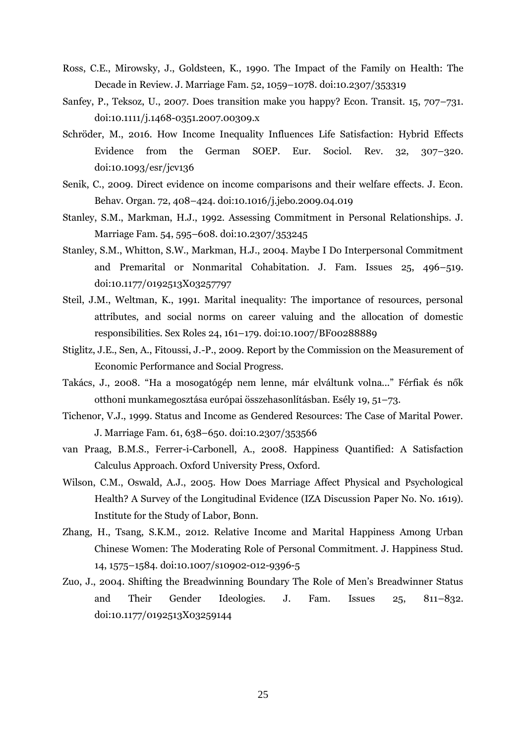- Ross, C.E., Mirowsky, J., Goldsteen, K., 1990. The Impact of the Family on Health: The Decade in Review. J. Marriage Fam. 52, 1059–1078. doi:10.2307/353319
- Sanfey, P., Teksoz, U., 2007. Does transition make you happy? Econ. Transit. 15, 707–731. doi:10.1111/j.1468-0351.2007.00309.x
- Schröder, M., 2016. How Income Inequality Influences Life Satisfaction: Hybrid Effects Evidence from the German SOEP. Eur. Sociol. Rev. 32, 307–320. doi:10.1093/esr/jcv136
- Senik, C., 2009. Direct evidence on income comparisons and their welfare effects. J. Econ. Behav. Organ. 72, 408–424. doi:10.1016/j.jebo.2009.04.019
- Stanley, S.M., Markman, H.J., 1992. Assessing Commitment in Personal Relationships. J. Marriage Fam. 54, 595–608. doi:10.2307/353245
- Stanley, S.M., Whitton, S.W., Markman, H.J., 2004. Maybe I Do Interpersonal Commitment and Premarital or Nonmarital Cohabitation. J. Fam. Issues 25, 496–519. doi:10.1177/0192513X03257797
- Steil, J.M., Weltman, K., 1991. Marital inequality: The importance of resources, personal attributes, and social norms on career valuing and the allocation of domestic responsibilities. Sex Roles 24, 161–179. doi:10.1007/BF00288889
- Stiglitz, J.E., Sen, A., Fitoussi, J.-P., 2009. Report by the Commission on the Measurement of Economic Performance and Social Progress.
- Takács, J., 2008. "Ha a mosogatógép nem lenne, már elváltunk volna..." Férfiak és nők otthoni munkamegosztása európai összehasonlításban. Esély 19, 51–73.
- Tichenor, V.J., 1999. Status and Income as Gendered Resources: The Case of Marital Power. J. Marriage Fam. 61, 638–650. doi:10.2307/353566
- van Praag, B.M.S., Ferrer-i-Carbonell, A., 2008. Happiness Quantified: A Satisfaction Calculus Approach. Oxford University Press, Oxford.
- Wilson, C.M., Oswald, A.J., 2005. How Does Marriage Affect Physical and Psychological Health? A Survey of the Longitudinal Evidence (IZA Discussion Paper No. No. 1619). Institute for the Study of Labor, Bonn.
- Zhang, H., Tsang, S.K.M., 2012. Relative Income and Marital Happiness Among Urban Chinese Women: The Moderating Role of Personal Commitment. J. Happiness Stud. 14, 1575–1584. doi:10.1007/s10902-012-9396-5
- Zuo, J., 2004. Shifting the Breadwinning Boundary The Role of Men's Breadwinner Status and Their Gender Ideologies. J. Fam. Issues 25, 811–832. doi:10.1177/0192513X03259144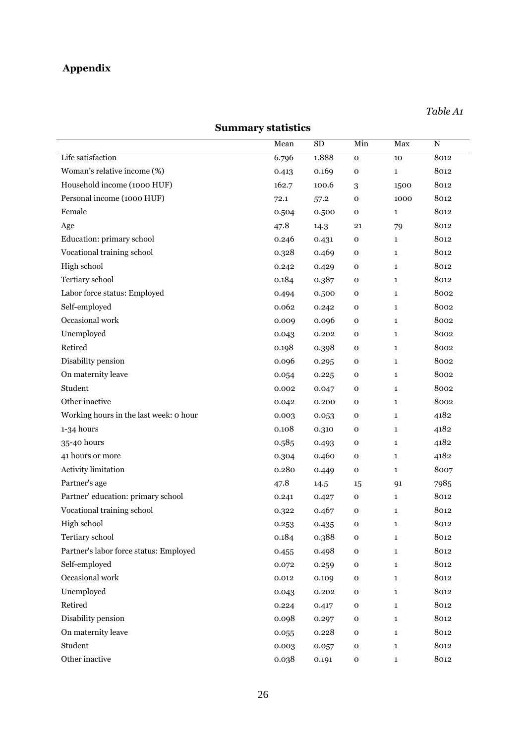# **Appendix**

# **Summary statistics**

<span id="page-25-0"></span>

|                                        | Mean  | <b>SD</b> | Min         | Max          | $\mathbf N$ |
|----------------------------------------|-------|-----------|-------------|--------------|-------------|
| Life satisfaction                      | 6.796 | 1.888     | $\mathbf 0$ | 10           | 8012        |
| Woman's relative income (%)            | 0.413 | 0.169     | $\mathbf 0$ | $\mathbf{1}$ | 8012        |
| Household income (1000 HUF)            | 162.7 | 100.6     | 3           | 1500         | 8012        |
| Personal income (1000 HUF)             | 72.1  | 57.2      | o           | 1000         | 8012        |
| Female                                 | 0.504 | 0.500     | $\mathbf 0$ | $\mathbf{1}$ | 8012        |
| Age                                    | 47.8  | 14.3      | 21          | 79           | 8012        |
| Education: primary school              | 0.246 | 0.431     | $\mathbf O$ | $\mathbf{1}$ | 8012        |
| Vocational training school             | 0.328 | 0.469     | $\mathbf 0$ | $\mathbf{1}$ | 8012        |
| High school                            | 0.242 | 0.429     | $\mathbf 0$ | $\mathbf{1}$ | 8012        |
| Tertiary school                        | 0.184 | 0.387     | 0           | $\mathbf{1}$ | 8012        |
| Labor force status: Employed           | 0.494 | 0.500     | 0           | $\mathbf{1}$ | 8002        |
| Self-employed                          | 0.062 | 0.242     | 0           | $\mathbf{1}$ | 8002        |
| Occasional work                        | 0.009 | 0.096     | $\mathbf 0$ | $\mathbf{1}$ | 8002        |
| Unemployed                             | 0.043 | 0.202     | 0           | $\mathbf{1}$ | 8002        |
| Retired                                | 0.198 | 0.398     | 0           | $\mathbf{1}$ | 8002        |
| Disability pension                     | 0.096 | 0.295     | 0           | $\mathbf{1}$ | 8002        |
| On maternity leave                     | 0.054 | 0.225     | 0           | $\mathbf{1}$ | 8002        |
| Student                                | 0.002 | 0.047     | $\mathbf 0$ | $\mathbf{1}$ | 8002        |
| Other inactive                         | 0.042 | 0.200     | 0           | $\mathbf{1}$ | 8002        |
| Working hours in the last week: o hour | 0.003 | 0.053     | 0           | $\mathbf{1}$ | 4182        |
| 1-34 hours                             | 0.108 | 0.310     | 0           | $\mathbf{1}$ | 4182        |
| 35-40 hours                            | 0.585 | 0.493     | $\mathbf 0$ | $\mathbf{1}$ | 4182        |
| 41 hours or more                       | 0.304 | 0.460     | o           | $\mathbf{1}$ | 4182        |
| Activity limitation                    | 0.280 | 0.449     | $\mathbf 0$ | $\mathbf{1}$ | 8007        |
| Partner's age                          | 47.8  | 14.5      | 15          | 91           | 7985        |
| Partner' education: primary school     | 0.241 | 0.427     | 0           | $\mathbf{1}$ | 8012        |
| Vocational training school             | 0.322 | 0.467     | $\mathbf 0$ | $\mathbf{1}$ | 8012        |
| High school                            | 0.253 | 0.435     | $\mathbf 0$ | $\mathbf{1}$ | 8012        |
| Tertiary school                        | 0.184 | 0.388     | $\mathbf 0$ | $\mathbf{1}$ | 8012        |
| Partner's labor force status: Employed | 0.455 | 0.498     | $\mathbf 0$ | $\mathbf{1}$ | 8012        |
| Self-employed                          | 0.072 | 0.259     | $\mathbf 0$ | $\mathbf{1}$ | 8012        |
| Occasional work                        | 0.012 | 0.109     | $\mathbf 0$ | $\mathbf{1}$ | 8012        |
| Unemployed                             | 0.043 | 0.202     | 0           | $\mathbf{1}$ | 8012        |
| Retired                                | 0.224 | 0.417     | $\mathbf 0$ | $\mathbf{1}$ | 8012        |
| Disability pension                     | 0.098 | 0.297     | $\mathbf 0$ | $\mathbf{1}$ | 8012        |
| On maternity leave                     | 0.055 | 0.228     | $\mathbf 0$ | $\mathbf{1}$ | 8012        |
| Student                                | 0.003 | 0.057     | 0           | $\mathbf{1}$ | 8012        |
| Other inactive                         | 0.038 | 0.191     | ${\bf O}$   | $\mathbf{1}$ | 8012        |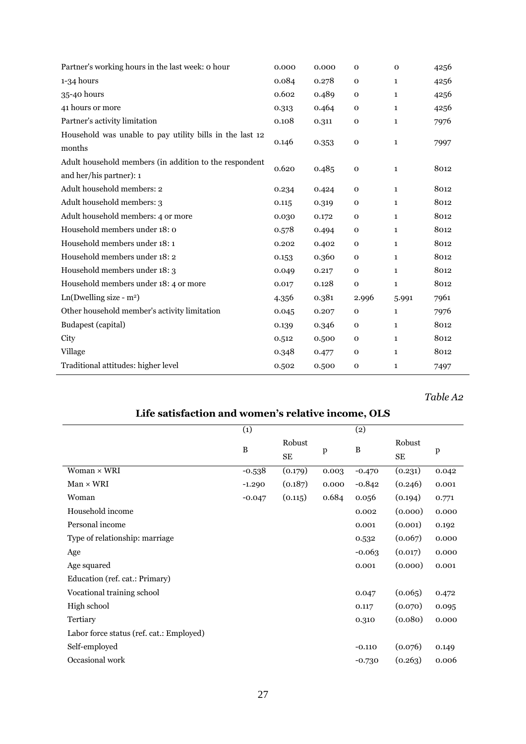| Partner's working hours in the last week: o hour         | 0.000 | 0.000 | $\mathbf 0$  | $\mathbf{O}$ | 4256 |
|----------------------------------------------------------|-------|-------|--------------|--------------|------|
| $1-34$ hours                                             | 0.084 | 0.278 | $\mathbf 0$  | $\mathbf{1}$ | 4256 |
| 35-40 hours                                              | 0.602 | 0.489 | $\mathbf 0$  | $\mathbf{1}$ | 4256 |
| 41 hours or more                                         | 0.313 | 0.464 | $\mathbf 0$  | $\mathbf{1}$ | 4256 |
| Partner's activity limitation                            | 0.108 | 0.311 | $\mathbf 0$  | 1            | 7976 |
| Household was unable to pay utility bills in the last 12 |       |       |              |              |      |
| months                                                   | 0.146 | 0.353 | $\mathbf 0$  | $\mathbf{1}$ | 7997 |
| Adult household members (in addition to the respondent   |       |       |              |              |      |
| and her/his partner): 1                                  | 0.620 | 0.485 | $\mathbf 0$  | $\mathbf{1}$ | 8012 |
| Adult household members: 2                               | 0.234 | 0.424 | $\mathbf 0$  | $\mathbf{1}$ | 8012 |
| Adult household members: 3                               | 0.115 | 0.319 | $\mathbf 0$  | $\mathbf{1}$ | 8012 |
| Adult household members: 4 or more                       | 0.030 | 0.172 | $\mathbf 0$  | $\mathbf{1}$ | 8012 |
| Household members under 18: 0                            | 0.578 | 0.494 | $\mathbf 0$  | $\mathbf{1}$ | 8012 |
| Household members under 18:1                             | 0.202 | 0.402 | $\mathbf 0$  | $\mathbf{1}$ | 8012 |
| Household members under 18:2                             | 0.153 | 0.360 | $\mathbf 0$  | $\mathbf{1}$ | 8012 |
| Household members under 18: 3                            | 0.049 | 0.217 | $\mathbf 0$  | $\mathbf{1}$ | 8012 |
| Household members under 18: 4 or more                    | 0.017 | 0.128 | $\mathbf{o}$ | $\mathbf{1}$ | 8012 |
| $Ln(Dwelling size - m2)$                                 | 4.356 | 0.381 | 2.996        | 5.991        | 7961 |
| Other household member's activity limitation             | 0.045 | 0.207 | $\mathbf 0$  | $\mathbf{1}$ | 7976 |
| Budapest (capital)                                       | 0.139 | 0.346 | $\mathbf 0$  | $\mathbf{1}$ | 8012 |
| City                                                     | 0.512 | 0.500 | $\mathbf 0$  | $\mathbf{1}$ | 8012 |
| Village                                                  | 0.348 | 0.477 | $\mathbf 0$  | 1            | 8012 |
| Traditional attitudes: higher level                      | 0.502 | 0.500 | $\mathbf 0$  | 1            | 7497 |

*Table A2*

<span id="page-26-0"></span>

| с засвятся он ана women з генатус теопе, одо |              |       |          |              |       |  |
|----------------------------------------------|--------------|-------|----------|--------------|-------|--|
| (1)                                          |              |       | (2)      |              |       |  |
| B                                            | Robust<br>SE | p     | B        | Robust<br>SE | p     |  |
| $-0.538$                                     | (0.179)      | 0.003 | $-0.470$ | (0.231)      | 0.042 |  |
| $-1.290$                                     | (0.187)      | 0.000 | $-0.842$ | (0.246)      | 0.001 |  |
| $-0.047$                                     | (0.115)      | 0.684 | 0.056    | (0.194)      | 0.771 |  |
|                                              |              |       | 0.002    | (0.000)      | 0.000 |  |
|                                              |              |       | 0.001    | (0.001)      | 0.192 |  |
|                                              |              |       | 0.532    | (0.067)      | 0.000 |  |
|                                              |              |       | $-0.063$ | (0.017)      | 0.000 |  |
|                                              |              |       | 0.001    | (0.000)      | 0.001 |  |
|                                              |              |       |          |              |       |  |
|                                              |              |       | 0.047    | (0.065)      | 0.472 |  |
|                                              |              |       | 0.117    | (0.070)      | 0.095 |  |
|                                              |              |       | 0.310    | (0.080)      | 0.000 |  |
|                                              |              |       |          |              |       |  |
|                                              |              |       | $-0.110$ | (0.076)      | 0.149 |  |
|                                              |              |       | $-0.730$ | (0.263)      | 0.006 |  |
|                                              |              |       |          |              |       |  |

## **Life satisfaction and women's relative income, OLS**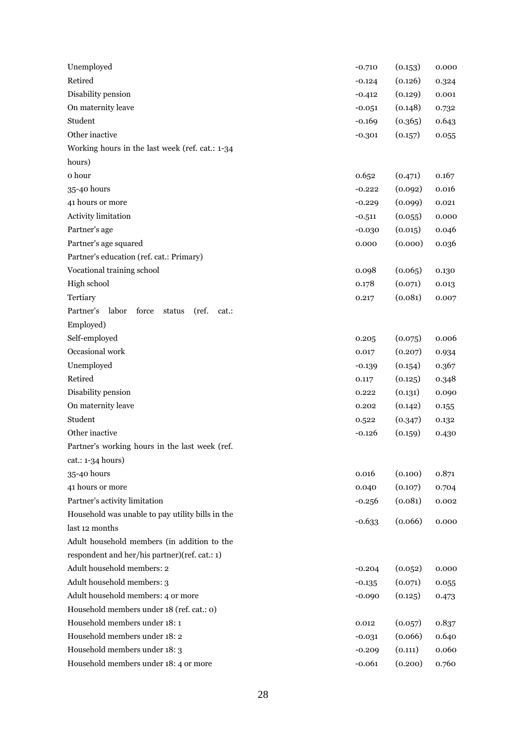| Unemployed                                              | $-0.710$ | (0.153) | 0.000 |
|---------------------------------------------------------|----------|---------|-------|
| Retired                                                 | $-0.124$ | (0.126) | 0.324 |
| Disability pension                                      | $-0.412$ | (0.129) | 0.001 |
| On maternity leave                                      | $-0.051$ | (0.148) | 0.732 |
| Student                                                 | $-0.169$ | (0.365) | 0.643 |
| Other inactive                                          | $-0.301$ | (0.157) | 0.055 |
| Working hours in the last week (ref. cat.: 1-34         |          |         |       |
| hours)                                                  |          |         |       |
| o hour                                                  | 0.652    | (0.471) | 0.167 |
| 35-40 hours                                             | $-0.222$ | (0.092) | 0.016 |
| 41 hours or more                                        | $-0.229$ | (0.099) | 0.021 |
| Activity limitation                                     | $-0.511$ | (0.055) | 0.000 |
| Partner's age                                           | $-0.030$ | (0.015) | 0.046 |
| Partner's age squared                                   | 0.000    | (0.000) | 0.036 |
| Partner's education (ref. cat.: Primary)                |          |         |       |
| Vocational training school                              | 0.098    | (0.065) | 0.130 |
| High school                                             | 0.178    | (0.071) | 0.013 |
| Tertiary                                                | 0.217    | (0.081) | 0.007 |
| Partner's<br>labor<br>force<br>(ref.<br>status<br>cat.: |          |         |       |
| Employed)                                               |          |         |       |
| Self-employed                                           | 0.205    | (0.075) | 0.006 |
| Occasional work                                         | 0.017    | (0.207) | 0.934 |
| Unemployed                                              | $-0.139$ | (0.154) | 0.367 |
| Retired                                                 | 0.117    | (0.125) | 0.348 |
| Disability pension                                      | 0.222    | (0.131) | 0.090 |
| On maternity leave                                      | 0.202    | (0.142) | 0.155 |
| Student                                                 | 0.522    | (0.347) | 0.132 |
| Other inactive                                          | $-0.126$ | (0.159) | 0.430 |
| Partner's working hours in the last week (ref.          |          |         |       |
| $cat.: 1-34 hours)$                                     |          |         |       |
| 35-40 hours                                             | 0.016    | (0.100) | 0.871 |
| 41 hours or more                                        | 0.040    | (0.107) | 0.704 |
| Partner's activity limitation                           | $-0.256$ | (0.081) | 0.002 |
| Household was unable to pay utility bills in the        | $-0.633$ | (0.066) | 0.000 |
| last 12 months                                          |          |         |       |
| Adult household members (in addition to the             |          |         |       |
| respondent and her/his partner)(ref. cat.: 1)           |          |         |       |
| Adult household members: 2                              | $-0.204$ | (0.052) | 0.000 |
| Adult household members: 3                              | $-0.135$ | (0.071) | 0.055 |
| Adult household members: 4 or more                      | $-0.090$ | (0.125) | 0.473 |
| Household members under 18 (ref. cat.: o)               |          |         |       |
| Household members under 18:1                            | 0.012    | (0.057) | 0.837 |
| Household members under 18: 2                           | $-0.031$ | (0.066) | 0.640 |
| Household members under 18: 3                           | $-0.209$ | (0.111) | 0.060 |
| Household members under 18: 4 or more                   | $-0.061$ | (0.200) | 0.760 |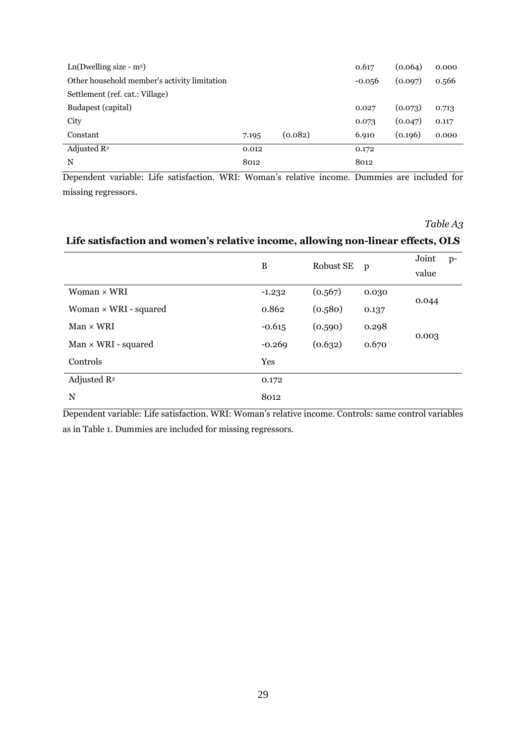| $Ln(Dwelling size - m2)$                     |       |         | 0.617    | (0.064) | 0.000 |
|----------------------------------------------|-------|---------|----------|---------|-------|
| Other household member's activity limitation |       |         | $-0.056$ | (0.097) | 0.566 |
| Settlement (ref. cat.: Village)              |       |         |          |         |       |
| Budapest (capital)                           |       |         | 0.027    | (0.073) | 0.713 |
| City                                         |       |         | 0.073    | (0.047) | 0.117 |
| Constant                                     | 7.195 | (0.082) | 6.910    | (0.196) | 0.000 |
| Adjusted $\mathbb{R}^2$                      | 0.012 |         | 0.172    |         |       |
| N                                            | 8012  |         | 8012     |         |       |

Dependent variable: Life satisfaction. WRI: Woman's relative income. Dummies are included for missing regressors.

*Table A3*

## <span id="page-28-0"></span>**Life satisfaction and women's relative income, allowing non-linear effects, OLS**

|                              | B        | Robust SE | p     | Joint<br>value | $p-$ |
|------------------------------|----------|-----------|-------|----------------|------|
| Woman × WRI                  | $-1.232$ | (0.567)   | 0.030 | 0.044          |      |
| Woman $\times$ WRI - squared | 0.862    | (0.580)   | 0.137 |                |      |
| $Man \times WRI$             | $-0.615$ | (0.590)   | 0.298 | 0.003          |      |
| $Man \times WRI$ - squared   | $-0.269$ | (0.632)   | 0.670 |                |      |
| Controls                     | Yes      |           |       |                |      |
| Adjusted $\mathbb{R}^2$      | 0.172    |           |       |                |      |
| N                            | 8012     |           |       |                |      |

Dependent variable: Life satisfaction. WRI: Woman's relative income. Controls: same control variables as in Table 1. Dummies are included for missing regressors.